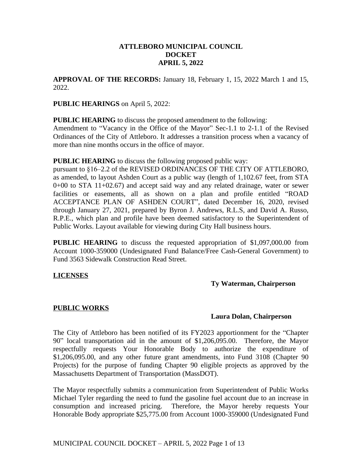# **ATTLEBORO MUNICIPAL COUNCIL DOCKET APRIL 5, 2022**

**APPROVAL OF THE RECORDS:** January 18, February 1, 15, 2022 March 1 and 15, 2022.

# **PUBLIC HEARINGS** on April 5, 2022:

**PUBLIC HEARING** to discuss the proposed amendment to the following:

Amendment to "Vacancy in the Office of the Mayor" Sec-1.1 to 2-1.1 of the Revised Ordinances of the City of Attleboro. It addresses a transition process when a vacancy of more than nine months occurs in the office of mayor.

**PUBLIC HEARING** to discuss the following proposed public way:

pursuant to §16–2.2 of the REVISED ORDINANCES OF THE CITY OF ATTLEBORO, as amended, to layout Ashden Court as a public way (length of 1,102.67 feet, from STA 0+00 to STA 11+02.67) and accept said way and any related drainage, water or sewer facilities or easements, all as shown on a plan and profile entitled "ROAD ACCEPTANCE PLAN OF ASHDEN COURT", dated December 16, 2020, revised through January 27, 2021, prepared by Byron J. Andrews, R.L.S, and David A. Russo, R.P.E., which plan and profile have been deemed satisfactory to the Superintendent of Public Works. Layout available for viewing during City Hall business hours.

**PUBLIC HEARING** to discuss the requested appropriation of \$1,097,000.00 from Account 1000-359000 (Undesignated Fund Balance/Free Cash-General Government) to Fund 3563 Sidewalk Construction Read Street.

# **LICENSES**

# **Ty Waterman, Chairperson**

# **PUBLIC WORKS**

# **Laura Dolan, Chairperson**

The City of Attleboro has been notified of its FY2023 apportionment for the "Chapter 90" local transportation aid in the amount of \$1,206,095.00. Therefore, the Mayor respectfully requests Your Honorable Body to authorize the expenditure of \$1,206,095.00, and any other future grant amendments, into Fund 3108 (Chapter 90 Projects) for the purpose of funding Chapter 90 eligible projects as approved by the Massachusetts Department of Transportation (MassDOT).

The Mayor respectfully submits a communication from Superintendent of Public Works Michael Tyler regarding the need to fund the gasoline fuel account due to an increase in consumption and increased pricing. Therefore, the Mayor hereby requests Your Honorable Body appropriate \$25,775.00 from Account 1000-359000 (Undesignated Fund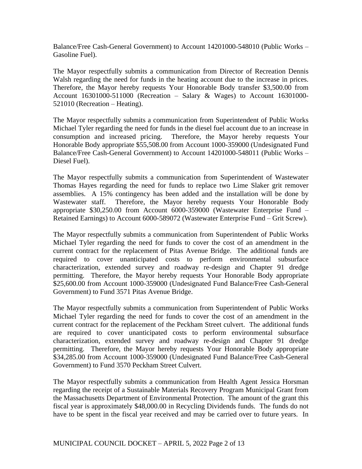Balance/Free Cash-General Government) to Account 14201000-548010 (Public Works – Gasoline Fuel).

The Mayor respectfully submits a communication from Director of Recreation Dennis Walsh regarding the need for funds in the heating account due to the increase in prices. Therefore, the Mayor hereby requests Your Honorable Body transfer \$3,500.00 from Account 16301000-511000 (Recreation – Salary & Wages) to Account 16301000- 521010 (Recreation – Heating).

The Mayor respectfully submits a communication from Superintendent of Public Works Michael Tyler regarding the need for funds in the diesel fuel account due to an increase in consumption and increased pricing. Therefore, the Mayor hereby requests Your Honorable Body appropriate \$55,508.00 from Account 1000-359000 (Undesignated Fund Balance/Free Cash-General Government) to Account 14201000-548011 (Public Works – Diesel Fuel).

The Mayor respectfully submits a communication from Superintendent of Wastewater Thomas Hayes regarding the need for funds to replace two Lime Slaker grit remover assemblies. A 15% contingency has been added and the installation will be done by Wastewater staff. Therefore, the Mayor hereby requests Your Honorable Body appropriate \$30,250.00 from Account 6000-359000 (Wastewater Enterprise Fund – Retained Earnings) to Account 6000-589072 (Wastewater Enterprise Fund – Grit Screw).

The Mayor respectfully submits a communication from Superintendent of Public Works Michael Tyler regarding the need for funds to cover the cost of an amendment in the current contract for the replacement of Pitas Avenue Bridge. The additional funds are required to cover unanticipated costs to perform environmental subsurface characterization, extended survey and roadway re-design and Chapter 91 dredge permitting. Therefore, the Mayor hereby requests Your Honorable Body appropriate \$25,600.00 from Account 1000-359000 (Undesignated Fund Balance/Free Cash-General Government) to Fund 3571 Pitas Avenue Bridge.

The Mayor respectfully submits a communication from Superintendent of Public Works Michael Tyler regarding the need for funds to cover the cost of an amendment in the current contract for the replacement of the Peckham Street culvert. The additional funds are required to cover unanticipated costs to perform environmental subsurface characterization, extended survey and roadway re-design and Chapter 91 dredge permitting. Therefore, the Mayor hereby requests Your Honorable Body appropriate \$34,285.00 from Account 1000-359000 (Undesignated Fund Balance/Free Cash-General Government) to Fund 3570 Peckham Street Culvert.

The Mayor respectfully submits a communication from Health Agent Jessica Horsman regarding the receipt of a Sustainable Materials Recovery Program Municipal Grant from the Massachusetts Department of Environmental Protection. The amount of the grant this fiscal year is approximately \$48,000.00 in Recycling Dividends funds. The funds do not have to be spent in the fiscal year received and may be carried over to future years. In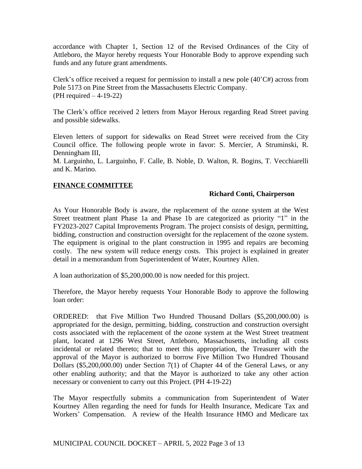accordance with Chapter 1, Section 12 of the Revised Ordinances of the City of Attleboro, the Mayor hereby requests Your Honorable Body to approve expending such funds and any future grant amendments.

Clerk's office received a request for permission to install a new pole  $(40^{\circ}C#)$  across from Pole 5173 on Pine Street from the Massachusetts Electric Company. (PH required – 4-19-22)

The Clerk's office received 2 letters from Mayor Heroux regarding Read Street paving and possible sidewalks.

Eleven letters of support for sidewalks on Read Street were received from the City Council office. The following people wrote in favor: S. Mercier, A Struminski, R. Denningham III,

M. Larguinho, L. Larguinho, F. Calle, B. Noble, D. Walton, R. Bogins, T. Vecchiarelli and K. Marino.

# **FINANCE COMMITTEE**

# **Richard Conti, Chairperson**

As Your Honorable Body is aware, the replacement of the ozone system at the West Street treatment plant Phase 1a and Phase 1b are categorized as priority "1" in the FY2023-2027 Capital Improvements Program. The project consists of design, permitting, bidding, construction and construction oversight for the replacement of the ozone system. The equipment is original to the plant construction in 1995 and repairs are becoming costly. The new system will reduce energy costs. This project is explained in greater detail in a memorandum from Superintendent of Water, Kourtney Allen.

A loan authorization of \$5,200,000.00 is now needed for this project.

Therefore, the Mayor hereby requests Your Honorable Body to approve the following loan order:

ORDERED: that Five Million Two Hundred Thousand Dollars (\$5,200,000.00) is appropriated for the design, permitting, bidding, construction and construction oversight costs associated with the replacement of the ozone system at the West Street treatment plant, located at 1296 West Street, Attleboro, Massachusetts, including all costs incidental or related thereto; that to meet this appropriation, the Treasurer with the approval of the Mayor is authorized to borrow Five Million Two Hundred Thousand Dollars (\$5,200,000.00) under Section 7(1) of Chapter 44 of the General Laws, or any other enabling authority; and that the Mayor is authorized to take any other action necessary or convenient to carry out this Project. (PH 4-19-22)

The Mayor respectfully submits a communication from Superintendent of Water Kourtney Allen regarding the need for funds for Health Insurance, Medicare Tax and Workers' Compensation. A review of the Health Insurance HMO and Medicare tax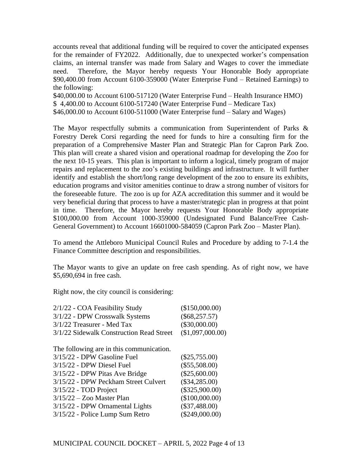accounts reveal that additional funding will be required to cover the anticipated expenses for the remainder of FY2022. Additionally, due to unexpected worker's compensation claims, an internal transfer was made from Salary and Wages to cover the immediate need. Therefore, the Mayor hereby requests Your Honorable Body appropriate \$90,400.00 from Account 6100-359000 (Water Enterprise Fund – Retained Earnings) to the following:

\$40,000.00 to Account 6100-517120 (Water Enterprise Fund – Health Insurance HMO) \$ 4,400.00 to Account 6100-517240 (Water Enterprise Fund – Medicare Tax) \$46,000.00 to Account 6100-511000 (Water Enterprise fund – Salary and Wages)

The Mayor respectfully submits a communication from Superintendent of Parks & Forestry Derek Corsi regarding the need for funds to hire a consulting firm for the preparation of a Comprehensive Master Plan and Strategic Plan for Capron Park Zoo. This plan will create a shared vision and operational roadmap for developing the Zoo for the next 10-15 years. This plan is important to inform a logical, timely program of major repairs and replacement to the zoo's existing buildings and infrastructure. It will further identify and establish the short/long range development of the zoo to ensure its exhibits, education programs and visitor amenities continue to draw a strong number of visitors for the foreseeable future. The zoo is up for AZA accreditation this summer and it would be very beneficial during that process to have a master/strategic plan in progress at that point in time. Therefore, the Mayor hereby requests Your Honorable Body appropriate \$100,000.00 from Account 1000-359000 (Undesignated Fund Balance/Free Cash-General Government) to Account 16601000-584059 (Capron Park Zoo – Master Plan).

To amend the Attleboro Municipal Council Rules and Procedure by adding to 7-1.4 the Finance Committee description and responsibilities.

The Mayor wants to give an update on free cash spending. As of right now, we have \$5,690,694 in free cash.

Right now, the city council is considering:

| 2/1/22 - COA Feasibility Study           | (\$150,000.00)   |
|------------------------------------------|------------------|
| 3/1/22 - DPW Crosswalk Systems           | $(\$68,257.57)$  |
| $3/1/22$ Treasurer - Med Tax             | $(\$30,000.00)$  |
| 3/1/22 Sidewalk Construction Read Street | (\$1,097,000.00) |
|                                          |                  |
| The following are in this communication. |                  |
| 3/15/22 - DPW Gasoline Fuel              | $(\$25,755.00)$  |
| $3/15/22$ - DPW Diesel Fuel              | $(\$55,508.00)$  |
| 3/15/22 - DPW Pitas Ave Bridge           | $(\$25,600.00)$  |
| 3/15/22 - DPW Peckham Street Culvert     | $(\$34,285.00)$  |
| 3/15/22 - TOD Project                    | $(\$325,900.00)$ |
| $3/15/22 - Zoo$ Master Plan              | (\$100,000.00)   |
| 3/15/22 - DPW Ornamental Lights          | $(\$37,488.00)$  |
| 3/15/22 - Police Lump Sum Retro          | $(\$249,000.00)$ |
|                                          |                  |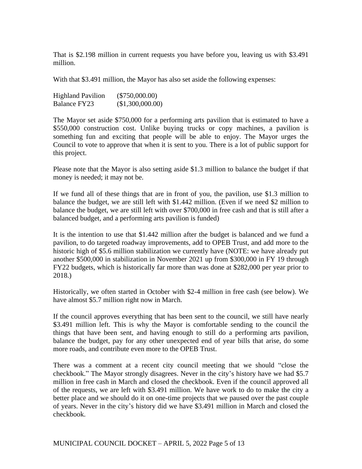That is \$2.198 million in current requests you have before you, leaving us with \$3.491 million.

With that \$3.491 million, the Mayor has also set aside the following expenses:

| <b>Highland Pavilion</b> | $(\$750,000.00)$ |
|--------------------------|------------------|
| Balance FY23             | (\$1,300,000.00) |

The Mayor set aside \$750,000 for a performing arts pavilion that is estimated to have a \$550,000 construction cost. Unlike buying trucks or copy machines, a pavilion is something fun and exciting that people will be able to enjoy. The Mayor urges the Council to vote to approve that when it is sent to you. There is a lot of public support for this project.

Please note that the Mayor is also setting aside \$1.3 million to balance the budget if that money is needed; it may not be.

If we fund all of these things that are in front of you, the pavilion, use \$1.3 million to balance the budget, we are still left with \$1.442 million. (Even if we need \$2 million to balance the budget, we are still left with over \$700,000 in free cash and that is still after a balanced budget, and a performing arts pavilion is funded)

It is the intention to use that \$1.442 million after the budget is balanced and we fund a pavilion, to do targeted roadway improvements, add to OPEB Trust, and add more to the historic high of \$5.6 million stabilization we currently have (NOTE: we have already put another \$500,000 in stabilization in November 2021 up from \$300,000 in FY 19 through FY22 budgets, which is historically far more than was done at \$282,000 per year prior to 2018.)

Historically, we often started in October with \$2-4 million in free cash (see below). We have almost \$5.7 million right now in March.

If the council approves everything that has been sent to the council, we still have nearly \$3.491 million left. This is why the Mayor is comfortable sending to the council the things that have been sent, and having enough to still do a performing arts pavilion, balance the budget, pay for any other unexpected end of year bills that arise, do some more roads, and contribute even more to the OPEB Trust.

There was a comment at a recent city council meeting that we should "close the checkbook." The Mayor strongly disagrees. Never in the city's history have we had \$5.7 million in free cash in March and closed the checkbook. Even if the council approved all of the requests, we are left with \$3.491 million. We have work to do to make the city a better place and we should do it on one-time projects that we paused over the past couple of years. Never in the city's history did we have \$3.491 million in March and closed the checkbook.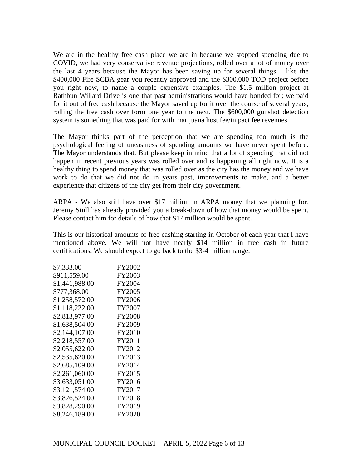We are in the healthy free cash place we are in because we stopped spending due to COVID, we had very conservative revenue projections, rolled over a lot of money over the last 4 years because the Mayor has been saving up for several things – like the \$400,000 Fire SCBA gear you recently approved and the \$300,000 TOD project before you right now, to name a couple expensive examples. The \$1.5 million project at Rathbun Willard Drive is one that past administrations would have bonded for; we paid for it out of free cash because the Mayor saved up for it over the course of several years, rolling the free cash over form one year to the next. The \$600,000 gunshot detection system is something that was paid for with marijuana host fee/impact fee revenues.

The Mayor thinks part of the perception that we are spending too much is the psychological feeling of uneasiness of spending amounts we have never spent before. The Mayor understands that. But please keep in mind that a lot of spending that did not happen in recent previous years was rolled over and is happening all right now. It is a healthy thing to spend money that was rolled over as the city has the money and we have work to do that we did not do in years past, improvements to make, and a better experience that citizens of the city get from their city government.

ARPA - We also still have over \$17 million in ARPA money that we planning for. Jeremy Stull has already provided you a break-down of how that money would be spent. Please contact him for details of how that \$17 million would be spent.

This is our historical amounts of free cashing starting in October of each year that I have mentioned above. We will not have nearly \$14 million in free cash in future certifications. We should expect to go back to the \$3-4 million range.

| \$7,333.00     | FY2002 |
|----------------|--------|
| \$911,559.00   | FY2003 |
| \$1,441,988.00 | FY2004 |
| \$777,368.00   | FY2005 |
| \$1,258,572.00 | FY2006 |
| \$1,118,222.00 | FY2007 |
| \$2,813,977.00 | FY2008 |
| \$1,638,504.00 | FY2009 |
| \$2,144,107.00 | FY2010 |
| \$2,218,557.00 | FY2011 |
| \$2,055,622.00 | FY2012 |
| \$2,535,620.00 | FY2013 |
| \$2,685,109.00 | FY2014 |
| \$2,261,060.00 | FY2015 |
| \$3,633,051.00 | FY2016 |
| \$3,121,574.00 | FY2017 |
| \$3,826,524.00 | FY2018 |
| \$3,828,290.00 | FY2019 |
| \$8,246,189.00 | FY2020 |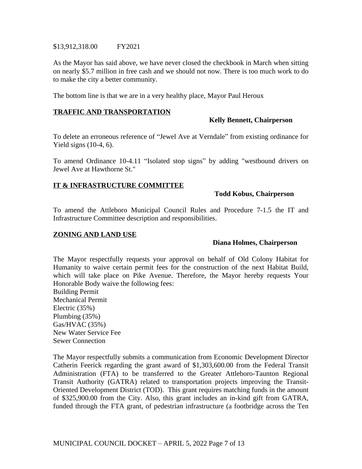#### \$13,912,318.00 FY2021

As the Mayor has said above, we have never closed the checkbook in March when sitting on nearly \$5.7 million in free cash and we should not now. There is too much work to do to make the city a better community.

The bottom line is that we are in a very healthy place, Mayor Paul Heroux

# **TRAFFIC AND TRANSPORTATION**

# **Kelly Bennett, Chairperson**

To delete an erroneous reference of "Jewel Ave at Verndale" from existing ordinance for Yield signs (10-4, 6).

To amend Ordinance 10-4.11 "Isolated stop signs" by adding "westbound drivers on Jewel Ave at Hawthorne St."

# **IT & INFRASTRUCTURE COMMITTEE**

### **Todd Kobus, Chairperson**

To amend the Attleboro Municipal Council Rules and Procedure 7-1.5 the IT and Infrastructure Committee description and responsibilities.

# **ZONING AND LAND USE**

# **Diana Holmes, Chairperson**

The Mayor respectfully requests your approval on behalf of Old Colony Habitat for Humanity to waive certain permit fees for the construction of the next Habitat Build, which will take place on Pike Avenue. Therefore, the Mayor hereby requests Your Honorable Body waive the following fees:

Building Permit Mechanical Permit Electric (35%) Plumbing (35%) Gas/HVAC (35%) New Water Service Fee Sewer Connection

The Mayor respectfully submits a communication from Economic Development Director Catherin Feerick regarding the grant award of \$1,303,600.00 from the Federal Transit Administration (FTA) to be transferred to the Greater Attleboro-Taunton Regional Transit Authority (GATRA) related to transportation projects improving the Transit-Oriented Development District (TOD). This grant requires matching funds in the amount of \$325,900.00 from the City. Also, this grant includes an in-kind gift from GATRA, funded through the FTA grant, of pedestrian infrastructure (a footbridge across the Ten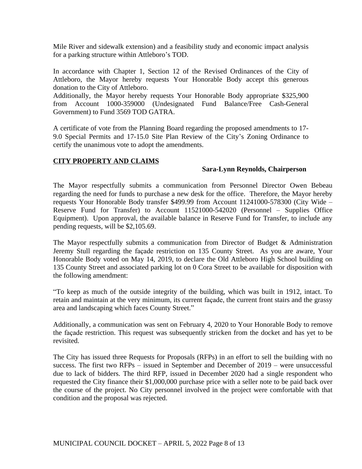Mile River and sidewalk extension) and a feasibility study and economic impact analysis for a parking structure within Attleboro's TOD.

In accordance with Chapter 1, Section 12 of the Revised Ordinances of the City of Attleboro, the Mayor hereby requests Your Honorable Body accept this generous donation to the City of Attleboro.

Additionally, the Mayor hereby requests Your Honorable Body appropriate \$325,900 from Account 1000-359000 (Undesignated Fund Balance/Free Cash-General Government) to Fund 3569 TOD GATRA.

A certificate of vote from the Planning Board regarding the proposed amendments to 17- 9.0 Special Permits and 17-15.0 Site Plan Review of the City's Zoning Ordinance to certify the unanimous vote to adopt the amendments.

# **CITY PROPERTY AND CLAIMS**

# **Sara-Lynn Reynolds, Chairperson**

The Mayor respectfully submits a communication from Personnel Director Owen Bebeau regarding the need for funds to purchase a new desk for the office. Therefore, the Mayor hereby requests Your Honorable Body transfer \$499.99 from Account 11241000-578300 (City Wide – Reserve Fund for Transfer) to Account 11521000-542020 (Personnel – Supplies Office Equipment). Upon approval, the available balance in Reserve Fund for Transfer, to include any pending requests, will be \$2,105.69.

The Mayor respectfully submits a communication from Director of Budget & Administration Jeremy Stull regarding the façade restriction on 135 County Street. As you are aware, Your Honorable Body voted on May 14, 2019, to declare the Old Attleboro High School building on 135 County Street and associated parking lot on 0 Cora Street to be available for disposition with the following amendment:

"To keep as much of the outside integrity of the building, which was built in 1912, intact. To retain and maintain at the very minimum, its current façade, the current front stairs and the grassy area and landscaping which faces County Street."

Additionally, a communication was sent on February 4, 2020 to Your Honorable Body to remove the façade restriction. This request was subsequently stricken from the docket and has yet to be revisited.

The City has issued three Requests for Proposals (RFPs) in an effort to sell the building with no success. The first two RFPs – issued in September and December of 2019 – were unsuccessful due to lack of bidders. The third RFP, issued in December 2020 had a single respondent who requested the City finance their \$1,000,000 purchase price with a seller note to be paid back over the course of the project. No City personnel involved in the project were comfortable with that condition and the proposal was rejected.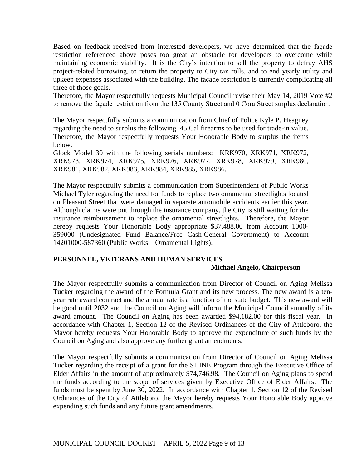Based on feedback received from interested developers, we have determined that the façade restriction referenced above poses too great an obstacle for developers to overcome while maintaining economic viability. It is the City's intention to sell the property to defray AHS project-related borrowing, to return the property to City tax rolls, and to end yearly utility and upkeep expenses associated with the building. The façade restriction is currently complicating all three of those goals.

Therefore, the Mayor respectfully requests Municipal Council revise their May 14, 2019 Vote #2 to remove the façade restriction from the 135 County Street and 0 Cora Street surplus declaration.

The Mayor respectfully submits a communication from Chief of Police Kyle P. Heagney regarding the need to surplus the following .45 Cal firearms to be used for trade-in value. Therefore, the Mayor respectfully requests Your Honorable Body to surplus the items below.

Glock Model 30 with the following serials numbers: KRK970, XRK971, XRK972, XRK973, XRK974, XRK975, XRK976, XRK977, XRK978, XRK979, XRK980, XRK981, XRK982, XRK983, XRK984, XRK985, XRK986.

The Mayor respectfully submits a communication from Superintendent of Public Works Michael Tyler regarding the need for funds to replace two ornamental streetlights located on Pleasant Street that were damaged in separate automobile accidents earlier this year. Although claims were put through the insurance company, the City is still waiting for the insurance reimbursement to replace the ornamental streetlights. Therefore, the Mayor hereby requests Your Honorable Body appropriate \$37,488.00 from Account 1000-359000 (Undesignated Fund Balance/Free Cash-General Government) to Account 14201000-587360 (Public Works – Ornamental Lights).

# **PERSONNEL, VETERANS AND HUMAN SERVICES**

# **Michael Angelo, Chairperson**

The Mayor respectfully submits a communication from Director of Council on Aging Melissa Tucker regarding the award of the Formula Grant and its new process. The new award is a tenyear rate award contract and the annual rate is a function of the state budget. This new award will be good until 2032 and the Council on Aging will inform the Municipal Council annually of its award amount. The Council on Aging has been awarded \$94,182.00 for this fiscal year. In accordance with Chapter 1, Section 12 of the Revised Ordinances of the City of Attleboro, the Mayor hereby requests Your Honorable Body to approve the expenditure of such funds by the Council on Aging and also approve any further grant amendments.

The Mayor respectfully submits a communication from Director of Council on Aging Melissa Tucker regarding the receipt of a grant for the SHINE Program through the Executive Office of Elder Affairs in the amount of approximately \$74,746.98. The Council on Aging plans to spend the funds according to the scope of services given by Executive Office of Elder Affairs. The funds must be spent by June 30, 2022. In accordance with Chapter 1, Section 12 of the Revised Ordinances of the City of Attleboro, the Mayor hereby requests Your Honorable Body approve expending such funds and any future grant amendments.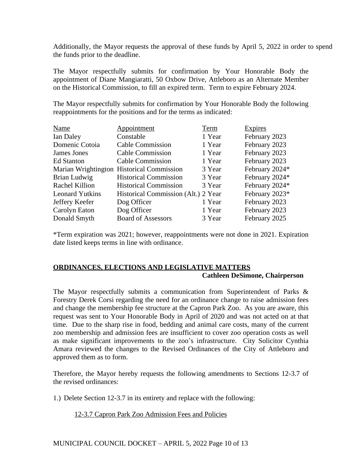Additionally, the Mayor requests the approval of these funds by April 5, 2022 in order to spend the funds prior to the deadline.

The Mayor respectfully submits for confirmation by Your Honorable Body the appointment of Diane Mangiaratti, 50 Oxbow Drive, Attleboro as an Alternate Member on the Historical Commission, to fill an expired term. Term to expire February 2024.

The Mayor respectfully submits for confirmation by Your Honorable Body the following reappointments for the positions and for the terms as indicated:

| <b>Name</b>            | Appointment                               | Term   | <b>Expires</b> |
|------------------------|-------------------------------------------|--------|----------------|
| Ian Daley              | Constable                                 | 1 Year | February 2023  |
| Domenic Cotoia         | <b>Cable Commission</b>                   | 1 Year | February 2023  |
| James Jones            | <b>Cable Commission</b>                   | 1 Year | February 2023  |
| <b>Ed Stanton</b>      | <b>Cable Commission</b>                   | 1 Year | February 2023  |
|                        | Marian Wrightington Historical Commission | 3 Year | February 2024* |
| Brian Ludwig           | <b>Historical Commission</b>              | 3 Year | February 2024* |
| Rachel Killion         | <b>Historical Commission</b>              | 3 Year | February 2024* |
| <b>Leonard Yutkins</b> | Historical Commission (Alt.) 2 Year       |        | February 2023* |
| Jeffery Keefer         | Dog Officer                               | 1 Year | February 2023  |
| Carolyn Eaton          | Dog Officer                               | 1 Year | February 2023  |
| Donald Smyth           | <b>Board of Assessors</b>                 | 3 Year | February 2025  |

\*Term expiration was 2021; however, reappointments were not done in 2021. Expiration date listed keeps terms in line with ordinance.

# **ORDINANCES, ELECTIONS AND LEGISLATIVE MATTERS Cathleen DeSimone, Chairperson**

The Mayor respectfully submits a communication from Superintendent of Parks & Forestry Derek Corsi regarding the need for an ordinance change to raise admission fees and change the membership fee structure at the Capron Park Zoo. As you are aware, this request was sent to Your Honorable Body in April of 2020 and was not acted on at that time. Due to the sharp rise in food, bedding and animal care costs, many of the current zoo membership and admission fees are insufficient to cover zoo operation costs as well as make significant improvements to the zoo's infrastructure. City Solicitor Cynthia Amara reviewed the changes to the Revised Ordinances of the City of Attleboro and approved them as to form.

Therefore, the Mayor hereby requests the following amendments to Sections 12-3.7 of the revised ordinances:

1.) Delete Section 12-3.7 in its entirety and replace with the following:

12-3.7 Capron Park Zoo Admission Fees and Policies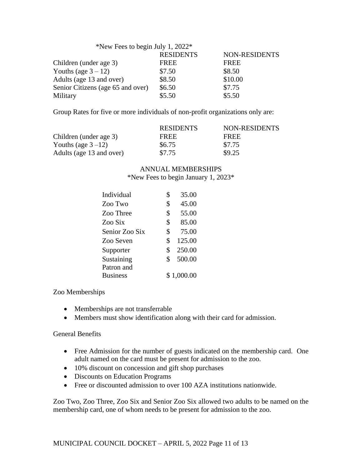| *New Fees to begin July 1, 2022*  |                  |                      |
|-----------------------------------|------------------|----------------------|
|                                   | <b>RESIDENTS</b> | <b>NON-RESIDENTS</b> |
| Children (under age 3)            | <b>FREE</b>      | <b>FREE</b>          |
| Youths (age $3 - 12$ )            | \$7.50           | \$8.50               |
| Adults (age 13 and over)          | \$8.50           | \$10.00              |
| Senior Citizens (age 65 and over) | \$6.50           | \$7.75               |
| Military                          | \$5.50           | \$5.50               |

Group Rates for five or more individuals of non-profit organizations only are:

|                          | <b>RESIDENTS</b> | NON-RESIDENTS |
|--------------------------|------------------|---------------|
| Children (under age 3)   | <b>FREE</b>      | <b>FREE</b>   |
| Youths (age $3-12$ )     | \$6.75           | \$7.75        |
| Adults (age 13 and over) | \$7.75           | \$9.25        |

# ANNUAL MEMBERSHIPS \*New Fees to begin January 1, 2023\*

| \$<br>35.00  |            |
|--------------|------------|
| \$<br>45.00  |            |
| \$<br>55.00  |            |
| \$<br>85.00  |            |
| \$<br>75.00  |            |
| \$<br>125.00 |            |
| \$<br>250.00 |            |
| \$<br>500.00 |            |
|              |            |
|              |            |
|              | \$1,000.00 |

Zoo Memberships

- Memberships are not transferrable
- Members must show identification along with their card for admission.

General Benefits

- Free Admission for the number of guests indicated on the membership card. One adult named on the card must be present for admission to the zoo.
- 10% discount on concession and gift shop purchases
- Discounts on Education Programs
- Free or discounted admission to over 100 AZA institutions nationwide.

Zoo Two, Zoo Three, Zoo Six and Senior Zoo Six allowed two adults to be named on the membership card, one of whom needs to be present for admission to the zoo.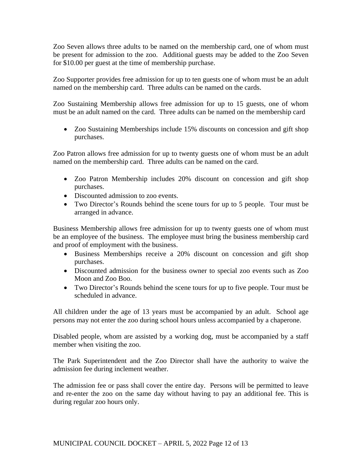Zoo Seven allows three adults to be named on the membership card, one of whom must be present for admission to the zoo. Additional guests may be added to the Zoo Seven for \$10.00 per guest at the time of membership purchase.

Zoo Supporter provides free admission for up to ten guests one of whom must be an adult named on the membership card. Three adults can be named on the cards.

Zoo Sustaining Membership allows free admission for up to 15 guests, one of whom must be an adult named on the card. Three adults can be named on the membership card

• Zoo Sustaining Memberships include 15% discounts on concession and gift shop purchases.

Zoo Patron allows free admission for up to twenty guests one of whom must be an adult named on the membership card. Three adults can be named on the card.

- Zoo Patron Membership includes 20% discount on concession and gift shop purchases.
- Discounted admission to zoo events.
- Two Director's Rounds behind the scene tours for up to 5 people. Tour must be arranged in advance.

Business Membership allows free admission for up to twenty guests one of whom must be an employee of the business. The employee must bring the business membership card and proof of employment with the business.

- Business Memberships receive a 20% discount on concession and gift shop purchases.
- Discounted admission for the business owner to special zoo events such as Zoo Moon and Zoo Boo.
- Two Director's Rounds behind the scene tours for up to five people. Tour must be scheduled in advance.

All children under the age of 13 years must be accompanied by an adult. School age persons may not enter the zoo during school hours unless accompanied by a chaperone.

Disabled people, whom are assisted by a working dog, must be accompanied by a staff member when visiting the zoo.

The Park Superintendent and the Zoo Director shall have the authority to waive the admission fee during inclement weather.

The admission fee or pass shall cover the entire day. Persons will be permitted to leave and re-enter the zoo on the same day without having to pay an additional fee. This is during regular zoo hours only.